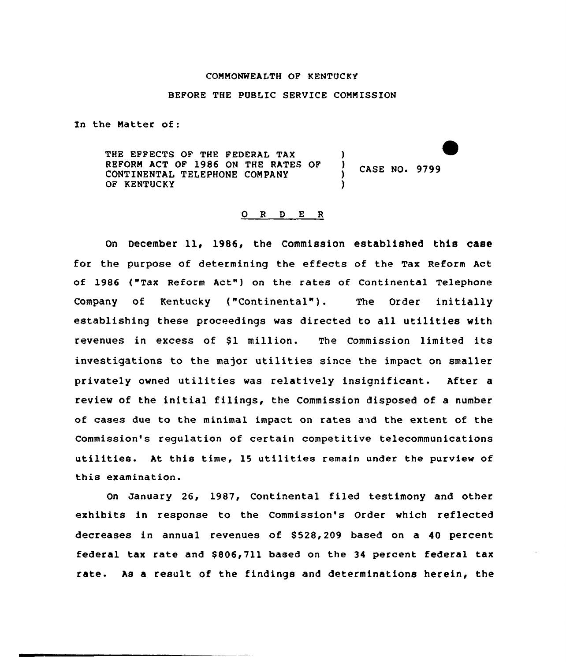#### COMMONWEALTH OF KENTUCKY

#### BEFORE THE PUBLIC SERVICE CONNISSION

In the Natter of:

THE EFFECTS OF THE FEDERAL TAX (a) (1) THE RATES OF (1) REFORM ACT OF 1986 ON THE RATES OF CONTINENTAL TELEPHONE COMPANY OF KENTUCKY

CASE NO. 9799

#### D E R  $O$  R

On December 11, 1986, the Commission established this case for the purpose of determining the effects of the Tax Reform Act of 1986 ("Tax Reform Act") on the rates of Continental Telephone Company of Kentucky {"Continental"). The Order initially establishing these proceedings was directed to all utilities with revenues in excess of \$1 million. The Commission limited its investigations to the major utilities since the impact on smaller privately owned utilities was relatively insignificant. After <sup>a</sup> review of the initial filings, the Commission disposed of a number of cases due to the minimal impact on rates a»d the extent of the Commission's regulation of certain competitive telecommunications utilities. At this time, <sup>15</sup> utilities remain under the purview of this examination.

On January 26, 1987, Continental filed testimony and other exhibits in response to the Commission's Order which reflected decreases in annual revenues of \$528,209 based on a 40 percent federal tax rate and \$806,711 based on the 34 percent federal tax rate. As a result of the findings and determinations herein, the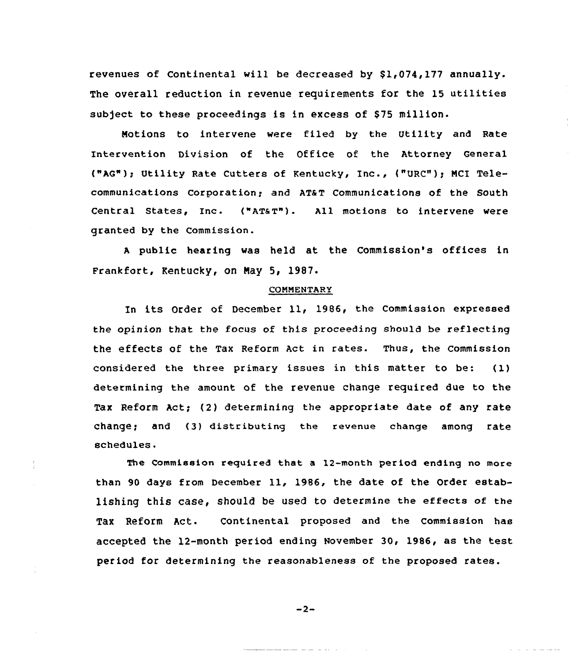revenues of Continental will be decreased by  $$1,074,177$  annually. The overall reduction in revenue requirements for the 15 utilities subject to these proceedings is in excess of \$75 million.

Notions to intervene were filed by the Utility and Rate Intervention Division of the Office of the Attorney General ("AG"); Utility Rate Cutters of Kentucky, Inc., {"URC")g NCI Telecommunications Corporation; and AT&T Communications of the South Central states, Inc. ("ATaT"). All motions to intervene were granted by the Commission.

<sup>A</sup> public hearing was held at the Commission's offices in Frankfort, Kentucky, on Nay 5, 1987.

#### COMMENTARY

In its Order of December ll, 198&, the Commission expressed the opinion that the focus of this proceeding should be reflecting the effects of the Tax Reform Act in rates. Thus, the commission considered the three primary issues in this matter to be: (1) determining the amount. of the revenue change required due to the Tax Reform Act; (2) determining the appropriate date of any rate change; and (3) distributing the revenue change among rate schedules.

The Commission required that a 12-month period ending no more than 90 days from December 11, 1986, the date of the Order establishing this case, should be used to determine the effects of the Tax Reform Act. Continental proposed and the Commission has accepted the 12-month period ending November 30, 1986, as the test period for determining the reasonableness of the proposed rates.

 $-2-$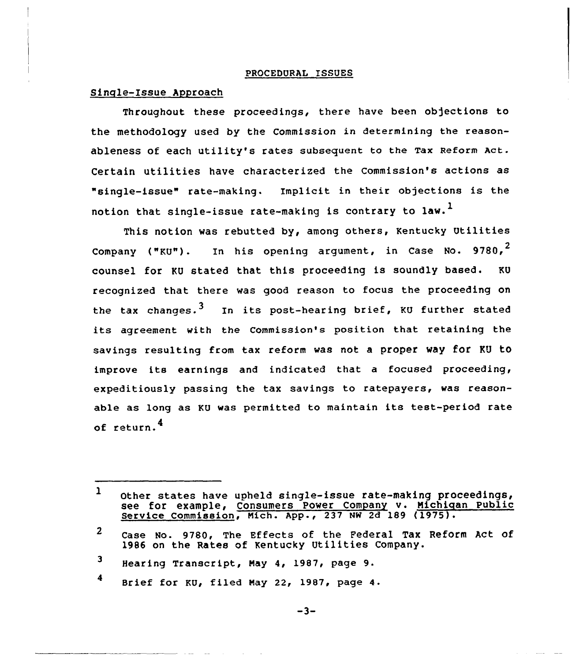#### PROCEDURAL ISSUES

#### Single-Issue Approach

Throughout these proceedings, there have been objections to the methodology used by the Commission in determining the reasonableness of each utility's rates subsequent to the Tax Reform Act. Certain utilities have characterized the Commission's actions as "single-issue" rate-making. Implicit in their objections is the notion that single-issue rate-making is contrary to law.<sup>1</sup>

This notion was rebutted by, among others, Kentucky Utilities Company ("KU"). In his opening argument, in Case No. 9780,<sup>2</sup> counsel for KU stated that this proceeding is soundly based. KU recognized that there was good reason to focus the proceeding on the tax changes.<sup>3</sup> In its post-hearing brief, KU further stated its agreement with the Commission's position that retaining the savings resulting from tax reform was not a proper way for KU tO improve its earnings and indicated that <sup>a</sup> focused proceeding, expeditiously passing the tax savings to ratepayers, was reasonable as long as KU was permitted to maintain its test-period rate of return.<sup>4</sup>

 $4$  Brief for KU, filed May 22, 1987, page 4.

 $\mathbf{1}$ other states have upheld single-issue rate-making proceedings, see for example, Consumers Power Company v. Michigan Public Service Commission, Mich. App-, <sup>237</sup> NW 2d <sup>189</sup> (1975).

 $\mathbf{2}$ case No. 9780, The Effects of the Federal Tax Reform Act of 1986 on the Rates of Kentucky Utilities Company.

<sup>3</sup> Hearing Transcript, May 4, 1987, page 9.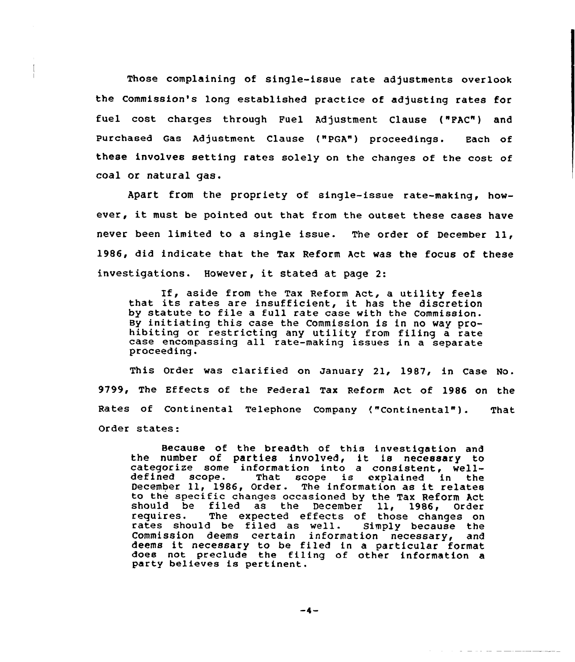Those complaining of single-issue rate adjustments overlook the Commission's long established practice of adjusting rates for fuel cost charges through Fuel Adjustment Clause ("PAC") and Purchased Gas Adjustment Clause ("PGA") proceedings. Each of these involves setting rates solely on the changes of the cost of coal or natural gas.

Apart from the propriety of single-issue rate-making, however, it must be pointed out that from the outset these cases have never been limited to <sup>a</sup> single issue. The order of December ll, 1986, did indicate that the Tax Reform Act was the focus of these investigations. However, it stated at page 2:

If, aside from the Tax Reform Act, <sup>a</sup> utility feels that its rates are insufficient, it has the discretion by statute to file a full rate case with the Commission. By initiating this case the Commission is in no way pro- hibiting or restricting any utility from filing <sup>a</sup> rate case encompassing all rate-making issues in a separate proceeding.

This Order was clarified on January 21, 1987, in Case No. 9799, The Effects of the Federal Tax Reform Act of 1986 on the Rates of Continental Telephone Company ("Continental"). That Order states:

Because of the breadth of this investigation and<br>the number of parties involved, it is necessary to the number of parties involved, it is necessary to categorize some information into a consistent, well-<br>defined scope. That scope is explained in the defined scope. That scope is explained in the<br>December 11, 1986, Order. The information as it relate to the specific changes occasioned by the Tax Reform Act should be filed as the December 11, 1986,<br>requires. The expected effects of those change The expected effects of those changes on<br>I be filed as well. Simply because the rates should be filed as well. Commission deems certain information necessary, and deems it necessary to be filed in <sup>a</sup> particular format does not preclude the filing of other information a party believes is pertinent.

 $-4-$ 

<u> 1965 - Johann Harrison, marko a</u>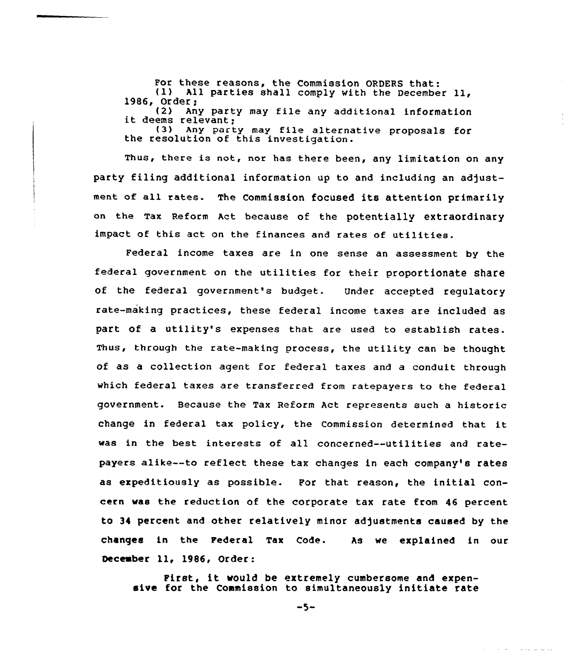For these reasons, the Commission ORDERS that:<br>(1) All parties shall comply with the December 11,<br>1986, Order;<br>(2) Any party may file any additional information

(2) Any party may file any additional information<br>it deems relevant;<br>(3) Any party may file alternative proposals for<br>the resolution of this investigation.

Thus, there is not, nor has there been, any limitation on any party filing additional information up to and including an adjustment of all rates. The Commission focused its attention primarily on the Tax Reform Act because of the potentially extraordinary impact of this act on the finances and rates of utilities.

Federal income taxes are in one sense an assessment by the federal government on the utilities for their proportionate share of the federal government's budget. Under accepted regulatory rate-making practices, these federal income taxes are included as part of a utility's expenses that are used to establish rates. Thus, through the rate-making process, the utility can be thought of as a collection agent for federal taxes and a conduit through which federal taxes are transferred from ratepayers to the federal government. Because the Tax Reform Act represents such a historic change in federal tax policy, the Commission determined that it was in the best interests of all concerned--utilities and ratepayers alike--to reflect these tax changes in each company's rates as expeditiously as possible. For that reason, the initial concern was the reduction of the corporate tax rate from 46 percent to 34 percent and other relatively minor adjustments caused by the changes in the Federal Tax Code. December ll, 1986, Order: As we explained in our

First, it would be extremely cumbersome and expensive for the Commission to simultaneously initiate rate

 $-5-$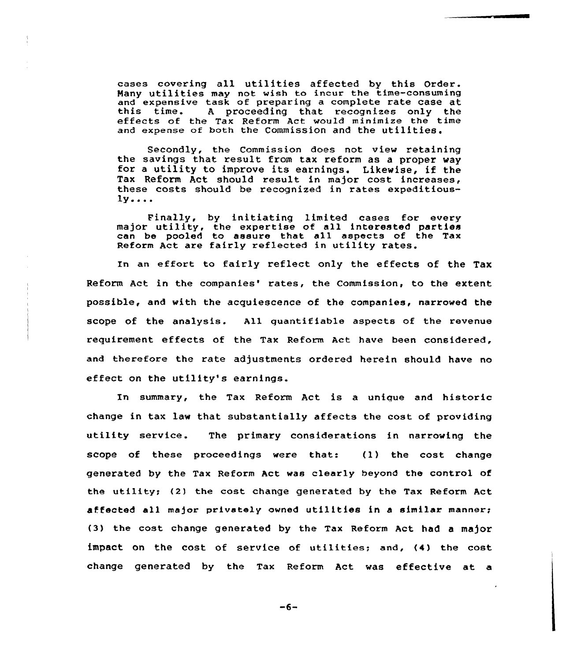cases covering all utilities affected by this Order. eases covering air utilities affected by this order and expensive task of preparing a complete rate case at this time. A proceeding that recognizes only the effects of the Tax Reform Act would minimize the time effects of the Tax Reform Act would minimize the time and expense of both the Commission and the utilities.

Secondly, the Commission does not view retaining the savings that result from tax reform as <sup>a</sup> proper way for <sup>a</sup> utility to improve its earnings. Likewise, if the Tax Reform Act should result in major cost increases, these costs should be recognized in rates expeditious- $1y...$ 

Finally, by initiating limited cases for every major utility, the expertise of all interested partie major uctifity, the experise of all interested parties Reform Act are fairly reflected in utility rates.

In an effort to fairly reflect only the effects of the Tax Reform Act in the companies' rates, the Commission, to the extent possible, and with the acquiescence of the companies, narrowed the scope of the analysis. All quantifiable aspects of the revenue requirement effects of the Tax Reform Act have been considered, and therefore the rate adjustments ordered herein should have no effect on the utility's earnings.

In summary, the Tax Reform Act is a unique and historic change in tax law that substantially affects the cost of providing utility service. The primary considerations in narrowing the scope of these proceedings were that: (1} the cost change generated by the Tax Reform Act was clearly beyond the control of the utility; (2) the cost change generated by the Tax Reform Act affected all major privately owned utilities in <sup>a</sup> similar manner; (3) the cost change generated by the Tax Reform Act had <sup>a</sup> major impact on the cost of service of utilities; and, (4) the cost change generated by the Tax Reform Act was effective at a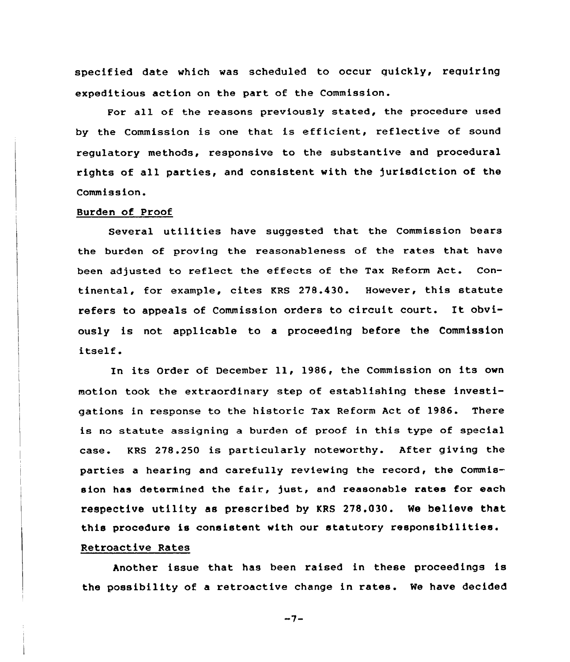specified date which was scheduled to occur quickly, requiring expeditious action on the part of the Commission.

For all of the reasons previously stated, the procedure used by the Commission is one that is efficient, reflective of sound regulatory methods, responsive to the substantive and procedural rights of all parties, and consistent with the jurisdiction of the Commission.

#### Burden of Proof

Several utilities have suggested that the Commission bears the burden of proving the reasonableness of the rates that have been adjusted to reflect the effects of the Tax Reform Act. Continental, for example, cites KRS 278.430. However, this statute refers to appeals of Commission orders to circuit court. It obviously is not applicable to a proceeding before the Commission itself.

In its Order of December ll, 1986, the Commission on its own motion took the extraordinary step of establishing these investigations in response to the historic Tax Reform Act of 1986. There is no statute assigning a burden of proof in this type of special case. KRS 278.250 is particularly noteworthy. After giving the parties a hearing and carefully reviewing the record, the Commission has determined the fair, just, and reasonable rates for each respective utility as prescribed by KRS 278.030. We believe that this procedure is consistent with our statutory responsibilities. Retroactive Rates

Another issue that has been raised in these proceedings is the possibility of a retroactive change in rates. We have decided

 $-7-$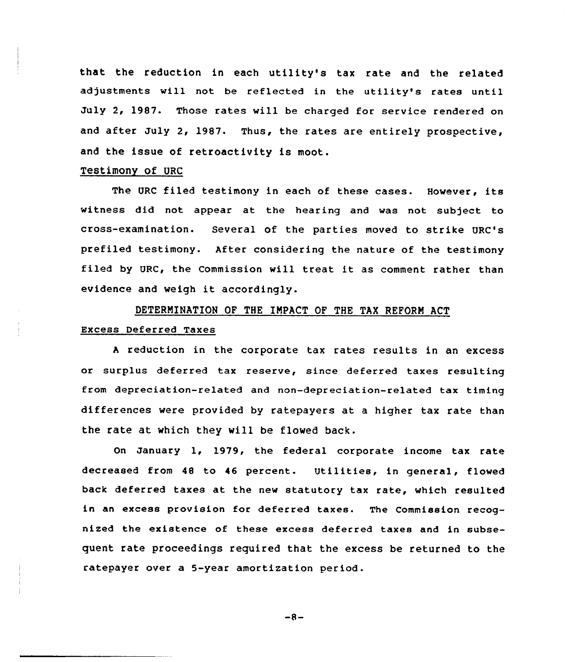that the reduction in each utility's tax rate and the related adjustments will not be reflected in the utility's rates until July 2, 1987. Those rates will be charged for service rendered on and after July 2, 1987. Thus, the rates are entirely prospective, and the issue of retroactivity is moot.

## Testimony of URC

The URC filed testimony in each of these cases. However, its witness did not appear at the hearing and was not subject to cross-examination. Several of the parties moved to strike URC's prefiled testimony. After considering the nature of the testimony filed by URC, the Commission will treat it as comment rather than evidence and weigh it accordingly.

# DETERMINATION OF THE IMPACT OF THE TAX REFORM ACT Excess Deferred Taxes

<sup>A</sup> reduction in the corporate tax rates results in an excess or surplus deferred tax reserve, since deferred taxes resulting from depreciation-related and non-depreciation-related tax timing differences were provided by ratepayers at a higher tax rate than the rate at which they wi11 be flowed back.

On January 1, 1979, the federal corporate income tax rate decreased from <sup>48</sup> to 46 percent. Utilities, in general, flowed back deferred taxes at the new statutory tax rate, which resulted in an excess provision for deferred taxes. The Commission recognized the existence of these excess deferred taxes and in subsequent rate proceedings required that the excess be returned to the ratepayer over a 5-year amortization period.

 $-8-$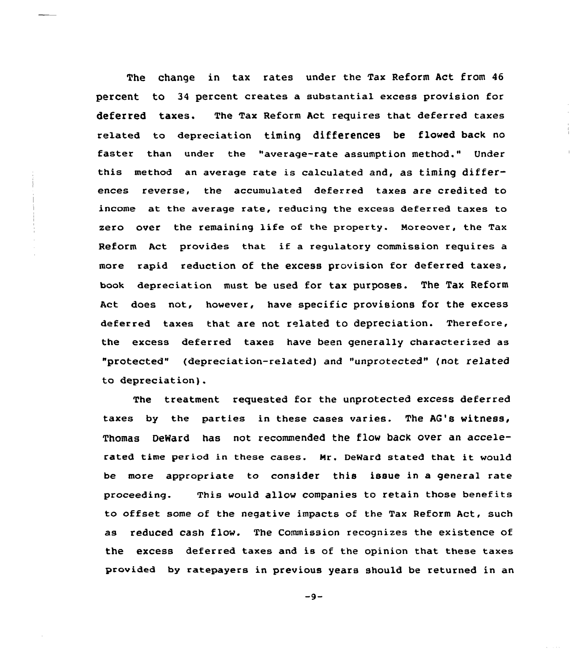The change in tax rates under the Tax Reform Act from 46 percent to 34 percent creates a substantial excess provision for deferred taxes. The Tax Reform Act requires that deferred taxes related to depreciation timing differences be flowed back no faster than under the "average-rate assumption method." Under this method an average rate is calculated and, as timing differences reverse, the accumulated deferred taxes are credited to income at the average rate, reducing the excess deferred taxes to zero over the remaining life of the property. Moreover, the Tax Reform Act provides that if <sup>a</sup> regulatory commission requires <sup>a</sup> more rapid reduction of the excess provision for deferred taxes, book depreciation must be used for tax purposes. The Tax Reform Act does not, however, have specific provisions for the excess deferred taxes that are not related to depreciation. Therefore, the excess deferred taxes have been generally characterized as "protected" (depreciation-related) and "unprotected" (not related to depreciation).

The treatment requested for the unprotected excess deferred taxes by the parties in these cases varies. The AG's witness, Thomas DeWard has not recommended the flow back over an accelerated time period in these cases. Nr. DeWard stated that it would be more appropriate to consider this issue in a general rate proceeding. This would allow companies to retain those benefits to offset some of the negative impacts of the Tax Reform Act, such as reduced cash flow. The Commission recognizes the existence of the excess deferred taxes and is of the opinion that these taxes provided by ratepayers in previous years should be returned in an

 $-9-$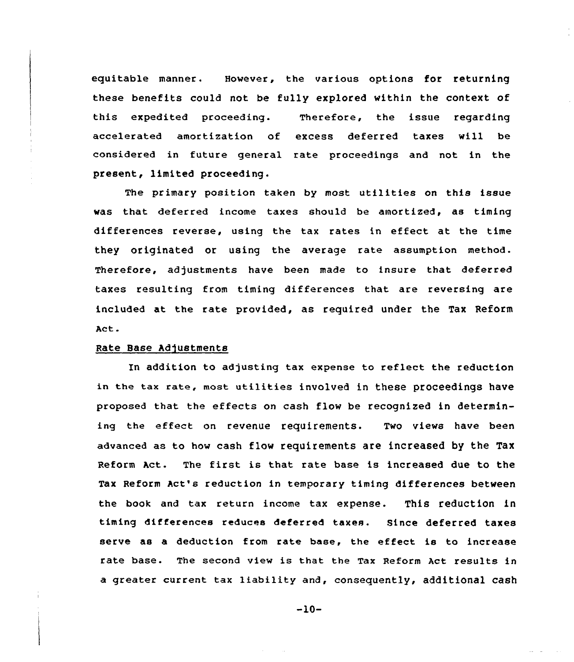equitable manner. However, the various options for returning these benefits could not be fully explored within the context of this expedited proceeding. Therefore, the issue regarding accelerated amortization of excess deferred taxes will be considered in future general rate proceedings and not in the present, limited proceeding.

The primary position taken by most utilities on this issue was that deferred income taxes should be amortized, as timing differences reverse, using the tax rates in effect at the time they originated or using the average rate assumption method. Therefore, adjustments have been made to insure that deferred taxes resulting from timing differences that are reversing are included at the rate provided, as required under the Tax Reform Act.

#### Rate Base Adjustments

In addition to adjusting tax expense to reflect the reduction in the tax rate, most utilities involved in these proceedings have proposed that the effects on cash flow be recognized in determining the effect on revenue requirements. Two views have been advanced as to how cash flow requirements are increased by the Tax Reform Act. The first is that rate base is increased due to the Tax Reform Act's reduction in temporary timing differences between the book and tax return income tax expense. This reduction in timing differences reduces deferred taxes. Since deferred taxes serve as a deduction from rate base, the effect is to increase rate base. The second view is that the Tax Reform Act results in a greater current tax liability and, consequently, additional cash

 $-10-$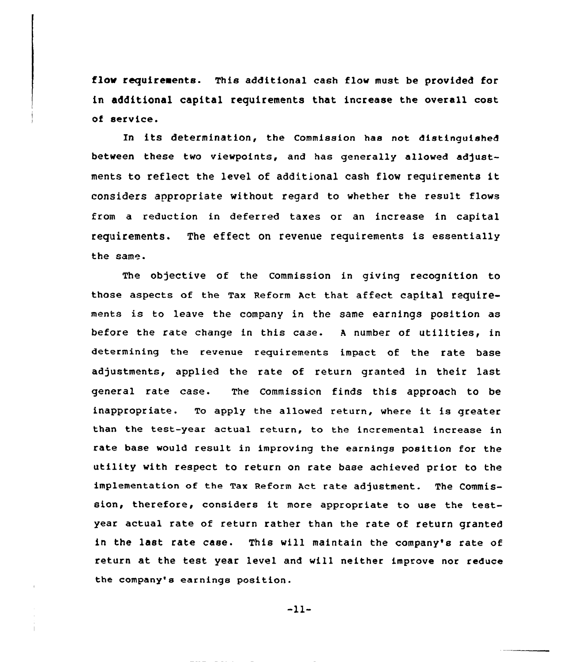flow requirements. This additional cash flow must be provided for in additional capital requirements that increase the overall cost of service.

In its determination, the Commission has not distinguished between these two viewpoints, and has generally allowed adjustments to reflect the level of additional cash flow requirements it considers appropriate without regard to whether the result flows from a reduction in deferred taxes or an increase in capital requirements. The effect on revenue requirements is essentially the same.

The objective of the Commission in giving recognition to those aspects of the Tax Reform Act that affect capital requirements is to leave the company in the same earnings position as before the rate change in this case. <sup>A</sup> number of utilities, in determining the revenue reguirements impact of the rate base adjustments, applied the rate of return granted in their last general rate case. The Commission finds this approach to be inappropriate. To apply the allowed return, where it is greater than the test-year actual return, to the incremental increase in rate base would result in improving the earnings position for the utility with respect to return on rate base achieved prior to the implementation of the Tax Reform Act rate adjustment. The Commission, therefore, considers it more appropriate to use the testyear actual rate of return rather than the rate of return granted in the last rate case. This will maintain the company's rate of return at the test year level and will neither improve nor reduce the company's earnings position.

 $-11-$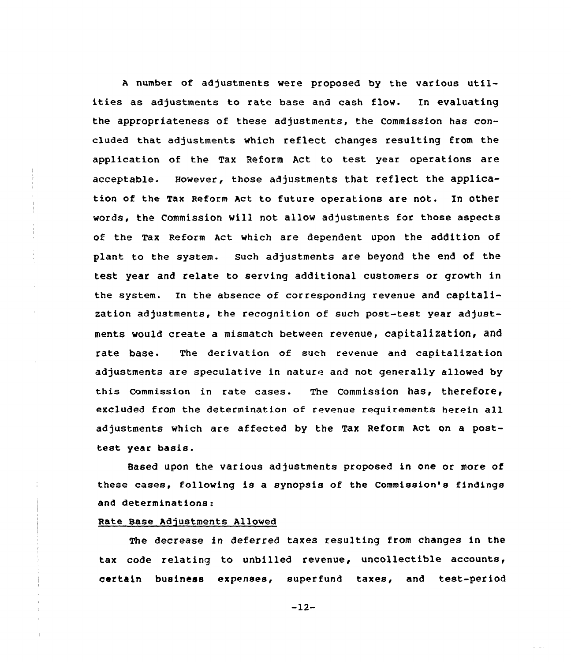<sup>A</sup> number of adjustments were proposed by the various utilities as adjustments to rate base and cash flow. In evaluating the appropriateness of these adjustments, the Commission has concluded that adjustments which reflect changes resulting from the application of the Tax Reform Act to test year operations are acceptable. However, those adjustments that reflect the application of the Tax Reform Act to future operations are not. In other words, the Commission will not allow adjustments for those aspects of the Tax Reform Act which are dependent upon the addition of plant to the system. Such adjustments are beyond the end of the test year and relate to serving additional customers or growth in the system. In the absence of corresponding revenue and capitalization adjustments, the recognition of such post-test year adjustments would create a mismatch between revenue, capitalization< and rate base. The derivation of such revenue and capitalization adjustments are speculative in nature and not generally allowed by this commission in rate cases. The commission has, therefore, excluded from the determination of revenue reguirements herein all adjustments which are affected by the Tax Reform Act on a posttest year basis.

Based upon the various adjustments proposed in one or more of these cases, following is a synopsis of the Commission's findings and determinations:

#### Rate Base Adjustments Allowed

÷

The decrease in deferred taxes resulting from changes in the tax code relating to unbilled revenue, uncollectible accounts, certain business expenses, superfund taxes, and test-period

-12-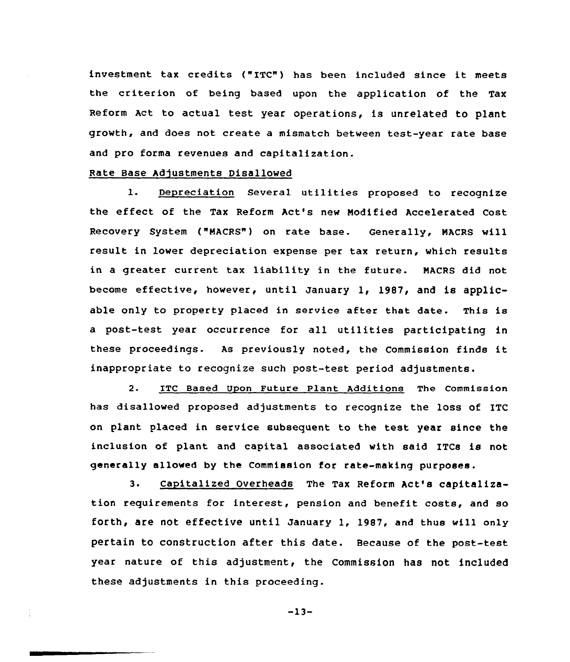investment tax credits {"ITC") has been included since it meets the criterion of being based upon the application of the Tax Reform Act to actual test year operations, is unrelated to plant growth, and does not create a mismatch between test-year rate base and pro forma revenues and capitalization.

#### Rate Base Adjustments Disallowed

1. Depreciation Several utilities proposed to recognize the effect of the Tax Reform Act's new Modified Accelerated Cost Recovery System ("MACRS") on rate base. Generally, MACRS will result in lower depreciation expense per tax return, which results in a greater current tax liability in the future. MACRS did not become effective, however, until January 1, 1987, and is applicable only to property placed in service after that date. This is a post-test year occurrence for all utilities participating in these proceedings. As previously noted, the Commission finds it inappropriate to recognize such post-test period adjustments.

2. ITC Based Upon Future Plant Additions The Commission has disallowed proposed adjustments to recognize the loss of ITC on plant placed in service subsequent to the test year since the inclusion of plant and capital associated with said ITCs is not generally allowed by the Commission for rate-making purposes.

3. Capitalized Overheads The Tax Reform Act's capitalization requirements for interest, pension and benefit costs, and so forth, are not effective until January 1, 1987, and thus will only pertain to construction after this date. Because of the post-test year nature of this adjustment, the Commission has not included these adjustments in this proceeding.

 $-13-$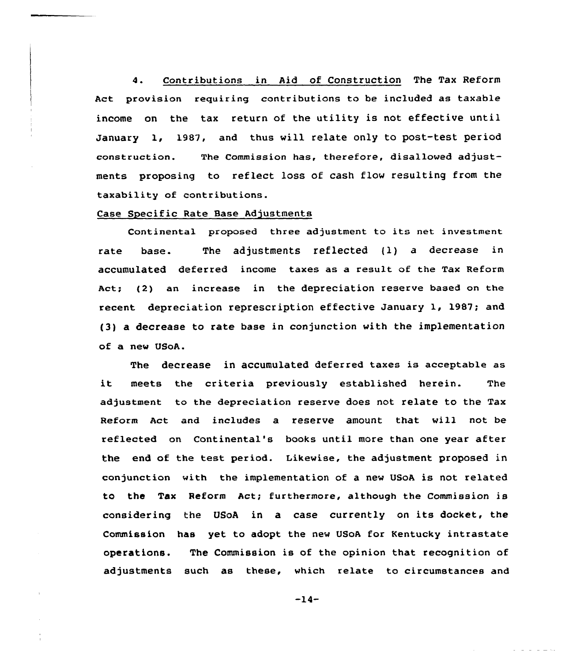4. Contributions in Aid of Construction The Tax Reform Act provision requiring contributions to be included as taxable income on the tax return of the utility is not effective until January 1, 1987, and thus will relate only to post-test period construction. The Commission has, therefore, disallowed adjustments proposing to reflect loss of cash flow resulting from the taxability of contributions.

#### Case Specific Rate Base Adjustments

Continental proposed three adjustment to its net investment rate base. The adjustments reflected {1) a decrease in accumulated deferred income taxes as a result of the Tax Reform Act; (2) an increase in the depreciation reserve based on the recent depreciation represcription effective January 1, 1987; and {3) a decrease to rate hase in conjunction with the implementation of a new USoA.

The decrease in accumulated deferred taxes is acceptable as it meets the criteria previously established herein. The adjustment to the depreciation reserve does not relate to the Tax Reform Act and includes a reserve amount that will not be reflected on Continental's books until more than one year after the end of the test period. Likewise, the adjustment proposed in conjunction with the implementation of a new USoA is not related to the Tax Reform Act; furthermore, although the Commission is considering the VSoA in a case currently on its docket, the Commission has yet to adopt the new USoA for Kentucky intrastate operations. The Commission is of the opinion that recognition of adjustments such as these, which relate to circumstances and

 $-14-$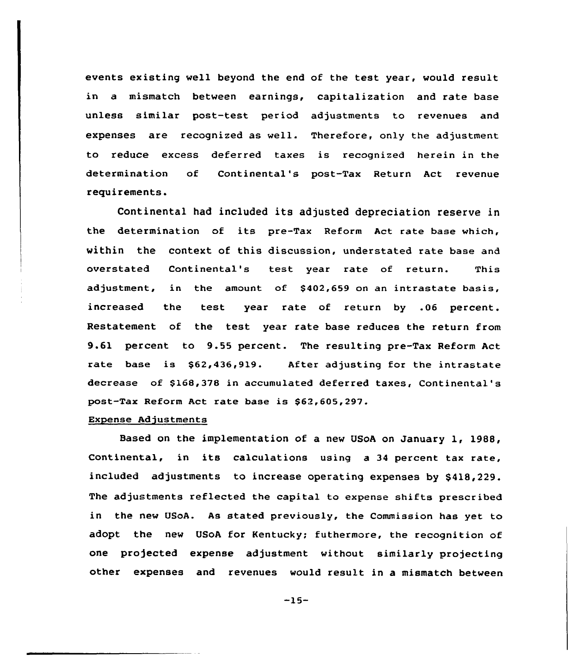events existing well beyond the end of the test year, would result in a mismatch between earnings, capitalization and rate base unless similar past-test periad adjustments to revenues and expenses are recognized as well. Therefore, only the adjustment to reduce excess deferred taxes is recognized herein in the determination of Cantinental's post-Tax Return Act revenue requirements.

Continental had included its adjusted depreciation reserve in the determination of its pre-Tax Reform Act rate base which, within the context of this discussion, understated rate base and overstated Continental's test year rate of return. This adjustment, in the amount of \$402,659 on an intrastate basis, increased the test year rate of return by .06 percent. Restatement of the test year rate base reduces the return from 9.61 percent to 9.55 percent. The resulting pre-Tax Reform Act rate base is \$62,436,919. After adjusting for the intrastate decrease of \$168,378 in accumulated deferred taxes, Continental's post-Tax Reform Act rate base is \$62,605,297.

#### Expense Adjustments

Based on the implementation of a new USoA on January 1, 1988, Continental, in its calculations using <sup>a</sup> <sup>34</sup> percent tax rate, included adjustments to increase operating expenses by \$418,229. The adjustments reflected the capital to expense shifts prescribed in the new UsoA. As stated previously, the Commission has yet to adopt the new USoA for Kentucky; futhermore, the recognition of one projected expense adjustment without similarly projecting other expenses and revenues would result in a mismatch between

-15-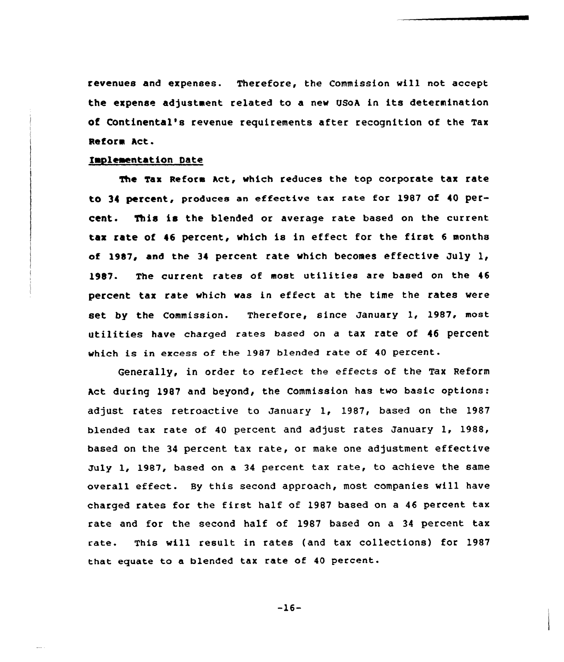revenues and expenses. Therefore, the Commission vill not accept the expense adjustment related to a new USoA in its determination Of COntinental's revenue requirements after recognition of the Tax Reform Act.

#### tapleaentation Date

The Tax Reform Act, which reduces the top corporate tax rate to 34 percent, produces an effective tax rate for 1987 of 40 percent. This is the blended or average rate based on the current tax rate of <sup>46</sup> percent, vhich is in effect for the first <sup>6</sup> months of 1987, and the 34 percent rate which becomes effective July 1, 1987. The current rates of most utilities are based on the 46 percent tax rate vhich vas in effect at the time the rates vere set by the Commission. Therefore, since January 1, 1987, most utilities have charged rates based on <sup>a</sup> tax rate Of <sup>46</sup> percent vhich is in excess of the 1987 blended rate of <sup>40</sup> percent.

Generally, in order to reflect the effects of the Tax Reform Act during 1987 and beyond, the Commission has two basic options: adjust rates retroactive to January 1, 1987, based on the 1987 blended tax rate of 40 percent and adjust rates January 1, 1988, based on the 34 percent tax rate, or make one adjustment effective July 1, 1987, based on a <sup>34</sup> percent tax rate, to achieve the same overall effect. By this second approach, most companies will have charged rates for the first half of 1987 based on <sup>a</sup> <sup>46</sup> percent tax rate and for the second half of 1987 based on a 34 percent tax rate. This will result in rates (and tax collections) for 1987 that equate to a blended tax rate of 40 percent.

-16-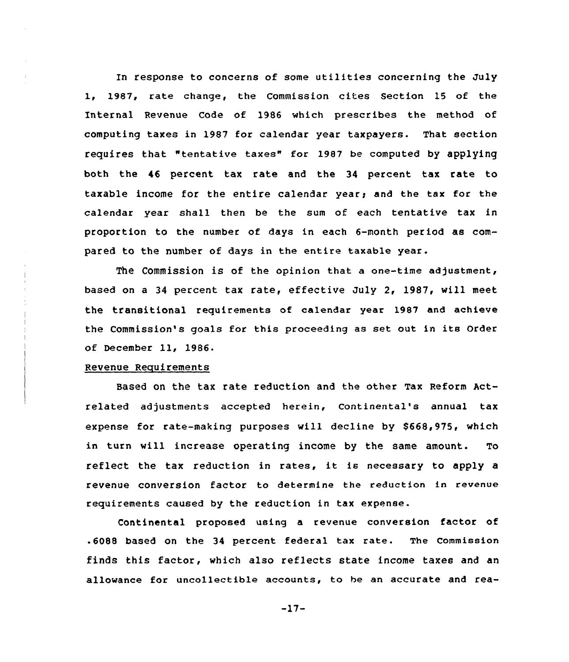In response to concerns of some utilities concerning the July 1, 1987, rate change, the Commission cites Section 15 of the Internal Revenue Code of 1986 which prescribes the method of computing taxes in 1987 for calendar year taxpayers. That section requires that "tentative taxes" for 1987 be computed by applying both the 46 percent tax rate and the 34 percent tax rate to taxable income for the entire calendar year; and the tax for the calendar year shall then be the sum of each tentative tax in proportion to the number of days in each 6-month period as compared to the number of days in the entire taxable year.

The Commission is of the opinion that a one-time adjustment, based on a 34 percent tax rate, effective July 2, 1987, will meet the transitional requirements of calendar year 1987 and achieve the Commission's goals for this proceeding as set out in its Order of December 11, 1986.

#### Revenue Reguirements

Based on the tax rate reduction and the other Tax Reform Actrelated adjustments accepted herein, Continental's annual tax expense for rate-making purposes will decline by \$668,975, which in turn will increase operating income by the same amount. To reflect the tax reduction in rates, it is necessary to apply <sup>a</sup> revenue conversion factor to determine the reduction in revenue requirements caused by the reduction in tax expense.

Continental proposed using a revenue conversion factor of .6088 based on the <sup>34</sup> percent federal tax rate. The Commission finds this factor, which also reflects state income taxes and an allowance for uncollectible accounts, to be an accurate and rea-

-17-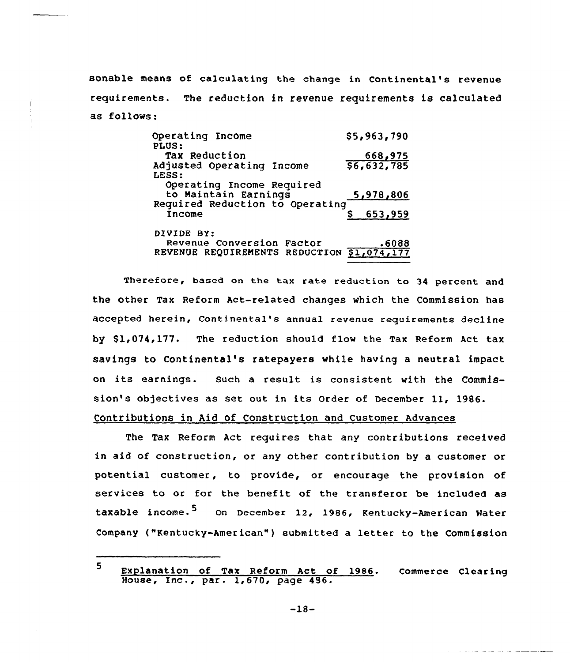sonable means of calculating the change in Continental's revenue requirements. The reduction in revenue requirements is calculated as follows:

| Operating Income<br>PLUS:                         | \$5,963,790 |
|---------------------------------------------------|-------------|
| Tax Reduction                                     | 668,975     |
| Adjusted Operating Income<br>LESS:                | 56,632,785  |
| Operating Income Required<br>to Maintain Earnings | 5,978,806   |
| Required Reduction to Operating<br>Income         | 653,959     |
| DIVIDE BY:                                        |             |
| Revenue Conversion Factor                         | .6088       |
| REVENUE REQUIREMENTS REDUCTION                    | 51,074,177  |

Therefore, based on the tax rate reduction to 34 percent and the other Tax Reform Act-related changes which the commission has accepted herein, Continental's annual revenue requirements decline by \$1,074,177. The reduction should flow the Tax Reform Act tax savings to Continental's ratepayers while having a neutral impact on its earnings. such <sup>a</sup> result is consistent with the Commission's objectives as set out in its Order of December ll, 1986. Contributions in Aid of Construction and Customer Advances

The Tax Reform Act requires that any contributions received in aid of construction, or any other contribution by a customer or potential customer, to provide, or encourage the provision of services to or for the benefit of the transferor be included as taxable income.<sup>5</sup> On December 12, 1986, Kentucky-American Water Company ("Kentucky-American" ) submitted <sup>a</sup> letter to the Commission

<sup>5</sup> Explanation of Tax Reform Act of 1986. Commerce Clearin Explanation of lax Reform ACC 0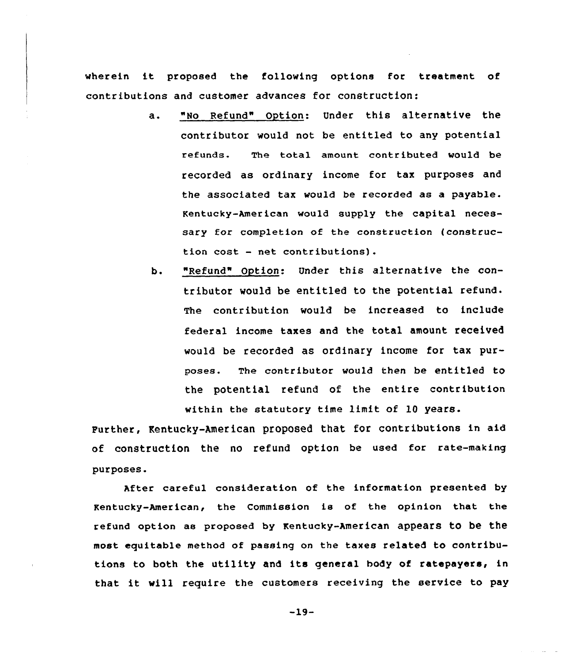wherein it proposed the following options for treatment of contributions and customer advances for construction:

- a. "No Refund" Option: Under this alternative the contributor would not be entitled to any potential refunds. The total amount contributed would be recorded as ordinary income for tax purposes and the associated tax would be recorded as a payable. Kentucky-American would supply the capital necessary for completion of the construction {construction cost — net contributions).
- b. "Refund" Option: Under this alternative the contributor would be entitled to the potential refund. The contribution would be increased to include federal income taxes and the total amount. received would be recorded as ordinary income for tax purposes. The contributor would then be entitled to the potential refund of the entire contribution within the statutory time limit of 10 years.

Purther, Kentucky-American proposed that for contributions in aid of construction the no refund option be used for rate-making purposes.

After careful consideration of the information presented by Kentucky-American, the Commission is of the opinion that the refund option as proposed by Kentucky-American appears to be the most equitable method of passing on the taxes related to contributions to both the utility and its general body of ratepayers, in that it will require the customers receiving the service to pay

 $-19-$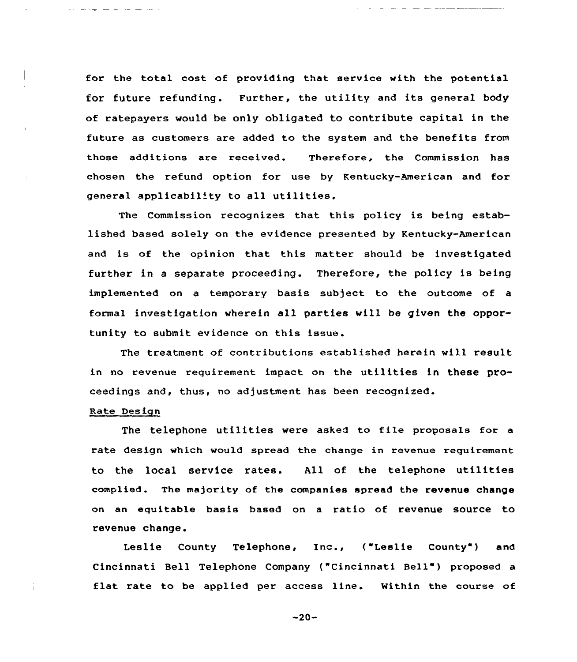for the total cost of providing that service with the potential for future refunding. Further, the utility and its general body of ratepayers would be only obligated to contribute capital in the future as customers are added to the system and the benefits from those additions are received. Therefore, the Commission has chosen the refund option for use by Kentucky-American and for general applicability to all utilities.

The Commission recognizes that this policy is being established based solely on the evidence presented by Kentucky-American and is of the opinion that this matter should be investigated further in <sup>a</sup> separate proceeding. Therefore, the policy is being implemented on a tempoxaxy basis subject to the outcome of a formal investigation whexein all parties will be given the opportunity to submit evidence on this issue.

The treatment of contributions established herein will result in no revenue requirement impact on the utilities in these proceedings and, thus, no adjustment has been recognized.

#### Rate Des ign

The telephone utilities were asked to file proposals for <sup>a</sup> rate design which would spread the change in revenue requirement to the local service rates. All of the telephone utilities complied. The majority of the companies spread the revenue change on an equitable basis based on a ratio of revenue source to revenue change.

Leslie County Telephone, Inc., ("Leslie County") and Cincinnati Bell Telephone Company ("Cincinnati Bell" ) proposed <sup>a</sup> flat rate to be applied per access line. Within the course of

 $-20-$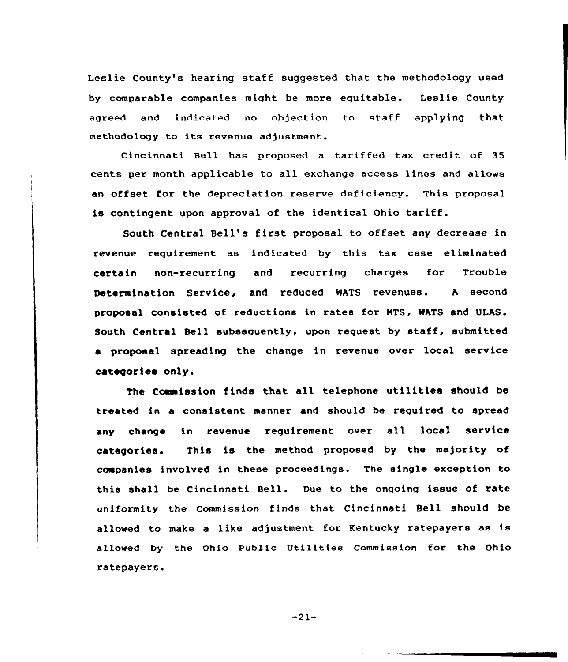Leslie County's hearing staff suggested that the methodology used by comparable companies might be more equitable. Leslie County agreed and indicated no objection to staff applying that methodology to its revenue adjustment.

Cincinnati Bell has proposed a tariffed tax credit of 35 cents per month applicable to all exchange access lines and allows an offset for the depreciation reserve deficiency. This proposal is contingent upon approval of the identical Ohio tariff.

South Central Bell's first proposal to offset any decrease in revenue requirement as indicated by this tax case eliminated certain non-recurring and recurring charges for Trouble Determination Service, and reduced WATS revenues. <sup>A</sup> second proposal consisted of reductions in rates for MTS, WATS and ULAS. South Central Bell subsequently, upon request by staff, submitted a proposal spreading the change in revenue over local service categories only.

The Commission finds that all telephone utilities should be treated in a consistent manner and should be required to spread any change in revenue requirement over all local service categories. This is the method proposed by the majority of companies involved in these proceedings. The single exception to this shall be Cincinnati Bell. Due to the ongoing issue of rate uniformity the Commission finds that Cincinnati Sell should be allowed to make a like adjustment for Kentucky ratepayers as is allowed by the ohio Public utilities Commission for the Ohio ratepayers.

 $-21-$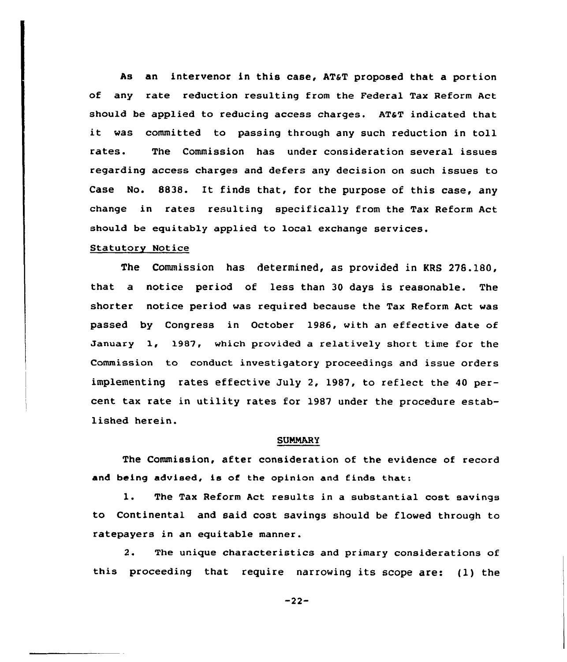As an intervenor in this case, AT&T proposed that a portion of any rate reduction resulting from the Federal Tax Reform Act should be applied to reducing access charges. AT&T indicated that it was committed to passing through any such reduction in toll rates. The Commission has under consideration several issues regarding access charges and defers any decision on such issues to Case No. 8838. It finds that, for the purpose of this case, any change in rates resulting specifically from the Tax Reform Act should be equitably applied to local exchange services.

#### Statutory Notice

The Commission has determined, as provided in KRS 276.180, that a notice period of less than 30 days is reasonable. The shorter notice period was required because the Tax Reform Act was passed by Congress in October 1986, with an effective date of January 1, 1987, which provided a relatively short time for the Commission to conduct investigatory proceedings and issue orders implementing rates effective July 2, 1987, to reflect the 40 percent tax rate in utility rates for 1987 under the procedure established herein.

#### SUMMARY

The Commission, after consideration of the evidence of record and being advised, is of the opinion and finds that:

1. The Tax Reform Act results in <sup>a</sup> substantial cost savings to Continental and said cost savings should be flowed through to ratepayers in an equitable manner.

2. The unique characteristics and primary considerations of this proceeding that require narrowing its scope are: (1) the

-22-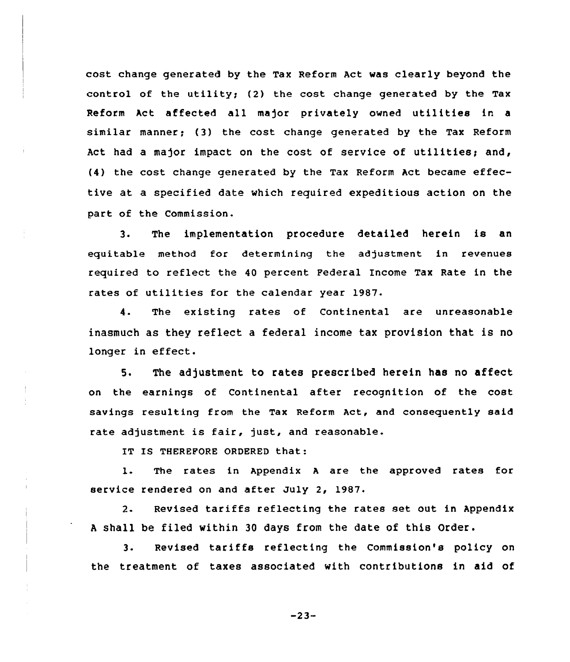cost change generated by the Tax Reform Act was clearly beyond the control of the utility; (2) the cost change generated by the Tax Reform Act affected all major privately owned utilities in <sup>a</sup> similar manner; (3) the cost change generated by the Tax Reform Act had a major impact on the cost of service of utilities; and, (4) the cost change generated by the Tax Reform Act became effective at a specified date which required expeditious action on the part of the Commission.

3. The implementation procedure detailed herein is an equitable method for determining the adjustment in revenues required to reflect the 40 percent Federal Income Tax Rate in the rates of utilities for the calendar year 1987.

4. The existing rates of Continental are unreasonable inasmuch as they reflect a federal income tax provision that is no longer in effect.

5. The adjustment to rates prescribed herein has no affect on the earnings of Continental after recognition of the cost savings resulting from the Tax Reform Act, and consequently said rate adjustment is fair, just, and reasonable.

IT IS THEREFORE ORDERED that:

1. The rates in Appendix <sup>A</sup> are the approved rates for service rendered on and after July 2, 1987.

2. Revised tariffs reflecting the rates set out in Appendix <sup>A</sup> shall be filed within 30 days from the date of this Order.

3. Revised tariffs reflecting the Commission's policy on the treatment of taxes associated with contributions in aid of

 $-23-$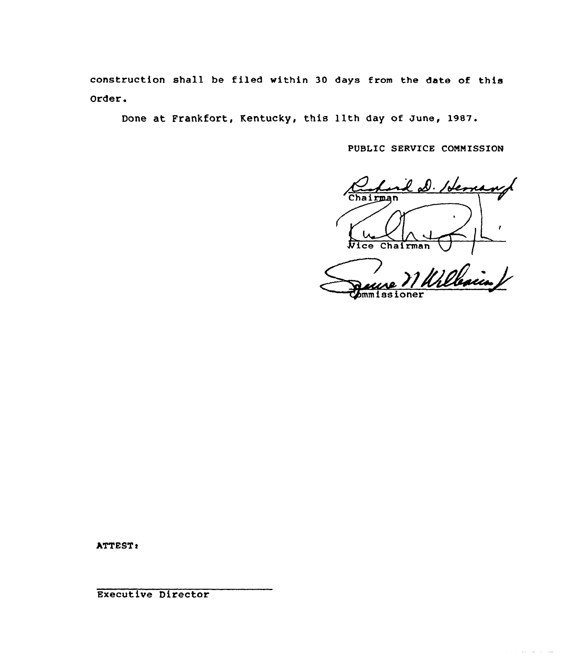construction shell be filed within 30 days from the date of this Order.

Done at Frankfort, Kentucky, this lith day of June, 19s7.

PUBLIC SERVICE CONNISSION

D. Herrand hairman

Vice Chairman VIII mm iss ioner

سوريات الواردة المرادي

ATTEST:

Executive Director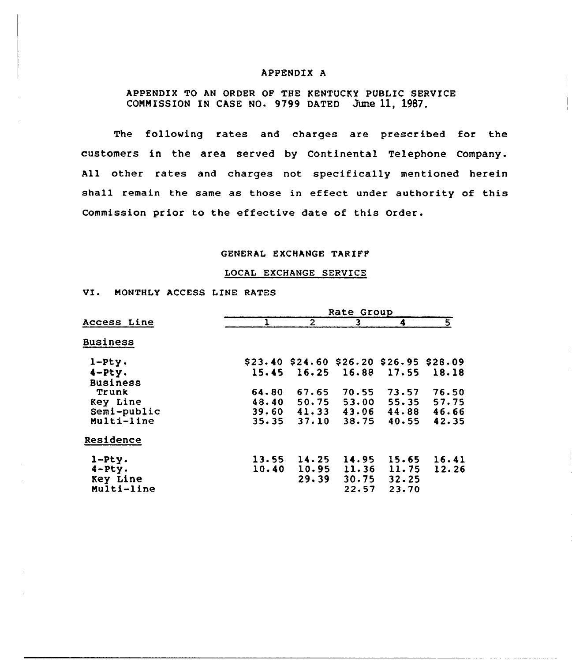#### APPENDIX A

APPENDIX TO AN ORDER OF THE KENTUCKY PUBLIC SERVICE COMMISSION IN CASE NO. 9799 DATED June 11, 1987.

The following rates and charges are prescribed for the customers in the area served by Continental Telephone Company. All other rates and charges not specifically mentioned herein shall remain the same as those in effect under authority of this Commission prior to the effective date of this Order.

#### GENERAL EXCHANGE TARIFF

### LOCAL EXCHANGE SERVICE

VI. MONTHLY ACCESS LINE RATES

|                 | Rate Group |                                             |                         |                 |       |
|-----------------|------------|---------------------------------------------|-------------------------|-----------------|-------|
| Access Line     |            | $\overline{2}$                              | $\overline{\mathbf{3}}$ | 4               | 5     |
| <b>Business</b> |            |                                             |                         |                 |       |
| $1-Pty.$        |            | \$23.40 \$24.60 \$26.20 \$26.95 \$28.09     |                         |                 |       |
| $4-Pz$ .        | 15.45      | 16.25                                       | 16.88                   | 17.55           | 18.18 |
| <b>Business</b> |            |                                             |                         |                 |       |
| Trunk           | 64.80      | 67.65                                       | 70.55                   | 73.57           | 76.50 |
| Key Line        | 48.40      | 50.75                                       |                         | $53.00$ $55.35$ | 57.75 |
| Semi-public     |            | $39.60 \quad 41.33 \quad 43.06 \quad 44.88$ |                         |                 | 46.66 |
| Multi-line      | 35.35      | 37.10                                       | 38.75                   | 40.55           | 42.35 |
| Residence       |            |                                             |                         |                 |       |
| $1-Pty.$        | 13.55      | 14.25                                       |                         | $14.95$ $15.65$ | 16.41 |
| $4 Pty.$        | 10.40      | 10.95                                       | 11.36                   | 11.75           | 12.26 |
| Key Line        |            | 29.39                                       | 30.75                   | 32.25           |       |
| Multi-line      |            |                                             | 22.57                   | 23.70           |       |
|                 |            |                                             |                         |                 |       |